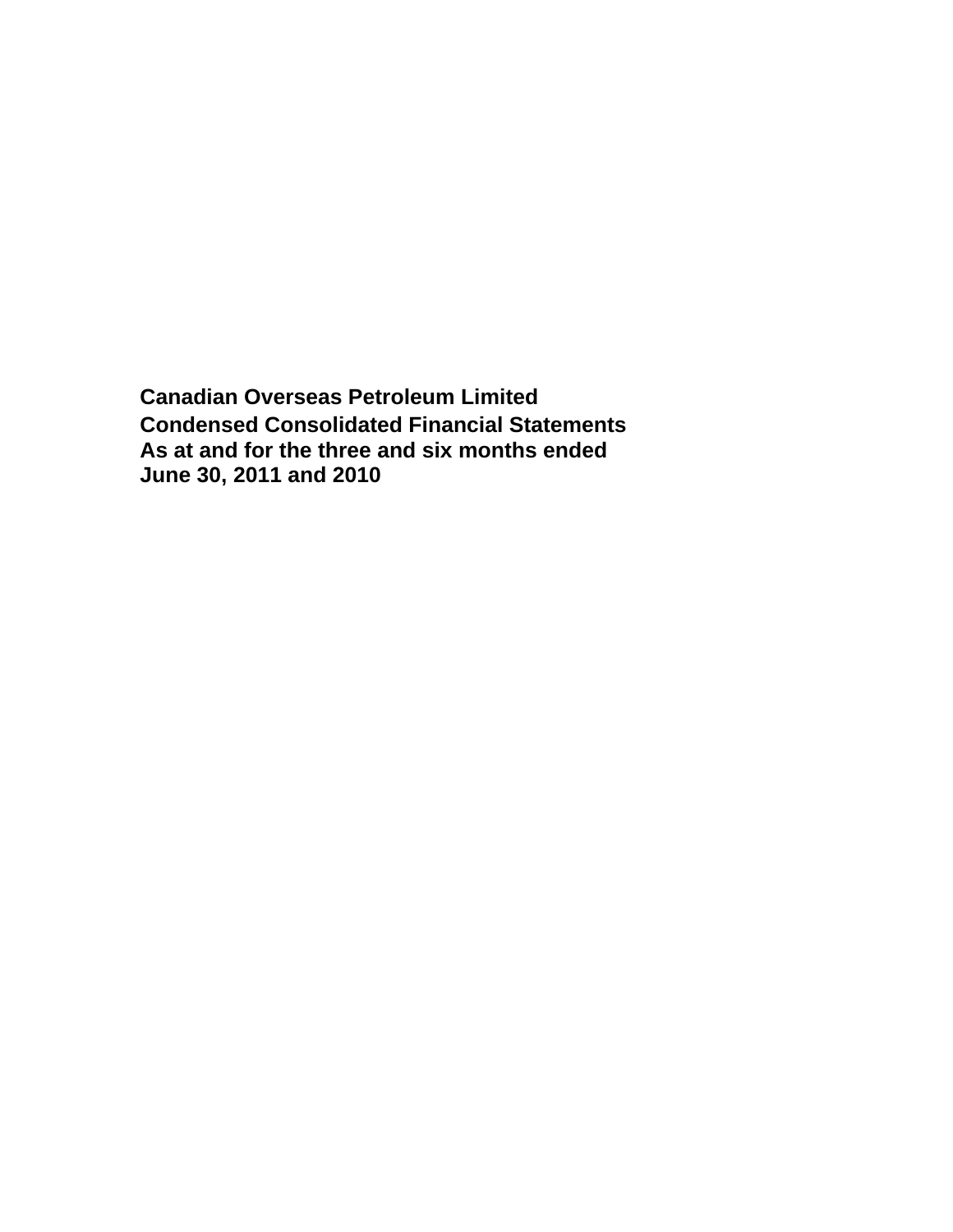**Canadian Overseas Petroleum Limited Condensed Consolidated Financial Statements As at and for the three and six months ended June 30, 2011 and 2010**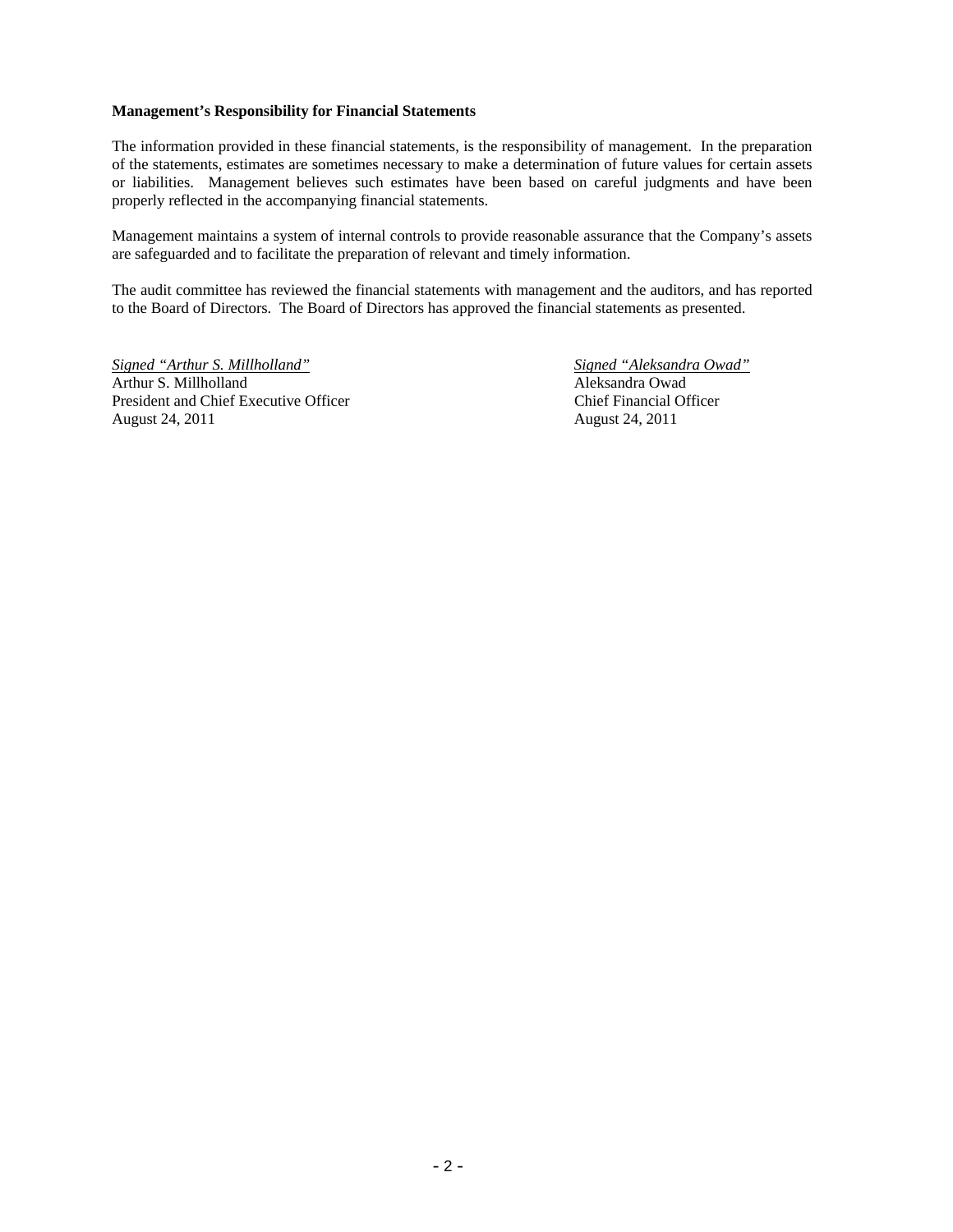# **Management's Responsibility for Financial Statements**

The information provided in these financial statements, is the responsibility of management. In the preparation of the statements, estimates are sometimes necessary to make a determination of future values for certain assets or liabilities. Management believes such estimates have been based on careful judgments and have been properly reflected in the accompanying financial statements.

Management maintains a system of internal controls to provide reasonable assurance that the Company's assets are safeguarded and to facilitate the preparation of relevant and timely information.

The audit committee has reviewed the financial statements with management and the auditors, and has reported to the Board of Directors. The Board of Directors has approved the financial statements as presented.

*Signed "Arthur S. Millholland" Signed "Aleksandra Owad"* Arthur S. Millholland Aleksandra Owad President and Chief Executive Officer Chief Financial Officer August 24, 2011 August 24, 2011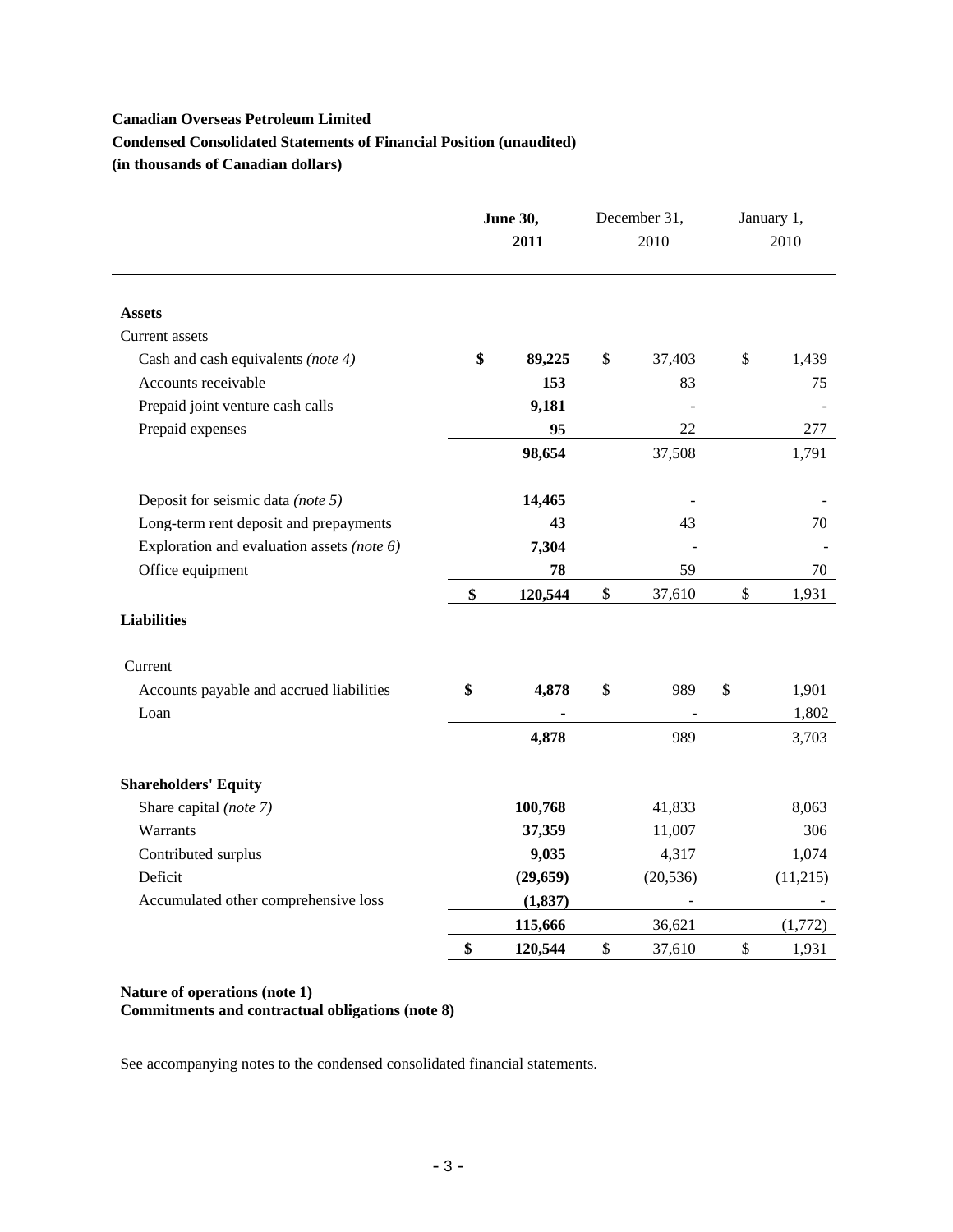# **Canadian Overseas Petroleum Limited Condensed Consolidated Statements of Financial Position (unaudited) (in thousands of Canadian dollars)**

|                                            | <b>June 30,</b><br>2011 |               | December 31,<br>2010 | January 1,<br>2010 |
|--------------------------------------------|-------------------------|---------------|----------------------|--------------------|
| <b>Assets</b>                              |                         |               |                      |                    |
| Current assets                             |                         |               |                      |                    |
| Cash and cash equivalents (note 4)         | \$<br>89,225            | \$            | 37,403               | \$<br>1,439        |
| Accounts receivable                        | 153                     |               | 83                   | 75                 |
| Prepaid joint venture cash calls           | 9,181                   |               |                      |                    |
| Prepaid expenses                           | 95                      |               | 22                   | 277                |
|                                            | 98,654                  |               | 37,508               | 1,791              |
| Deposit for seismic data (note 5)          | 14,465                  |               |                      |                    |
| Long-term rent deposit and prepayments     | 43                      |               | 43                   | 70                 |
| Exploration and evaluation assets (note 6) | 7,304                   |               |                      |                    |
| Office equipment                           | 78                      |               | 59                   | 70                 |
|                                            | \$<br>120,544           | $\mathcal{S}$ | 37,610               | \$<br>1,931        |
| <b>Liabilities</b>                         |                         |               |                      |                    |
| Current                                    |                         |               |                      |                    |
| Accounts payable and accrued liabilities   | \$<br>4,878             | \$            | 989                  | \$<br>1,901        |
| Loan                                       |                         |               |                      | 1,802              |
|                                            | 4,878                   |               | 989                  | 3,703              |
| <b>Shareholders' Equity</b>                |                         |               |                      |                    |
| Share capital (note 7)                     | 100,768                 |               | 41,833               | 8,063              |
| Warrants                                   | 37,359                  |               | 11,007               | 306                |
| Contributed surplus                        | 9,035                   |               | 4,317                | 1,074              |
| Deficit                                    | (29, 659)               |               | (20, 536)            | (11,215)           |
| Accumulated other comprehensive loss       | (1, 837)                |               |                      |                    |
|                                            | 115,666                 |               | 36,621               | (1,772)            |
|                                            | \$<br>120,544           | \$            | 37,610               | \$<br>1,931        |

# **Nature of operations (note 1) Commitments and contractual obligations (note 8)**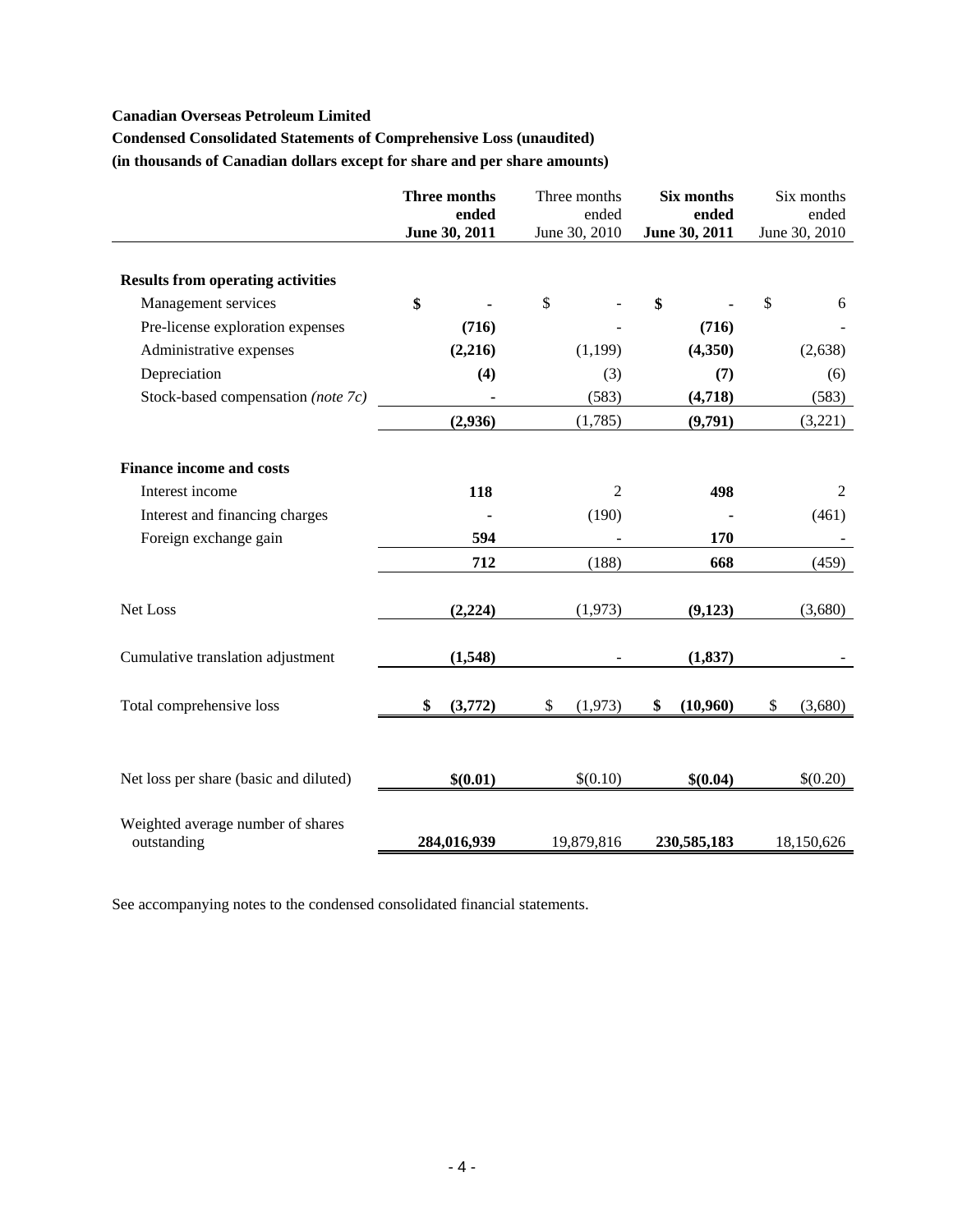# **Canadian Overseas Petroleum Limited**

# **Condensed Consolidated Statements of Comprehensive Loss (unaudited)**

**(in thousands of Canadian dollars except for share and per share amounts)** 

|                                                  | Three months<br>ended<br>June 30, 2011 | Three months<br>ended<br>June 30, 2010 | <b>Six months</b><br>ended<br>June 30, 2011 | Six months<br>ended<br>June 30, 2010 |
|--------------------------------------------------|----------------------------------------|----------------------------------------|---------------------------------------------|--------------------------------------|
| <b>Results from operating activities</b>         |                                        |                                        |                                             |                                      |
| Management services                              | \$                                     | \$                                     | \$                                          | \$<br>6                              |
| Pre-license exploration expenses                 | (716)                                  |                                        | (716)                                       |                                      |
| Administrative expenses                          | (2,216)                                | (1,199)                                | (4,350)                                     | (2,638)                              |
| Depreciation                                     | (4)                                    | (3)                                    | (7)                                         | (6)                                  |
| Stock-based compensation (note 7c)               |                                        | (583)                                  | (4,718)                                     | (583)                                |
|                                                  | (2,936)                                | (1,785)                                | (9,791)                                     | (3,221)                              |
| <b>Finance income and costs</b>                  |                                        |                                        |                                             |                                      |
| Interest income                                  | 118                                    | $\overline{2}$                         | 498                                         | $\overline{2}$                       |
| Interest and financing charges                   |                                        | (190)                                  |                                             | (461)                                |
| Foreign exchange gain                            | 594                                    |                                        | 170                                         |                                      |
|                                                  | 712                                    | (188)                                  | 668                                         | (459)                                |
| Net Loss                                         | (2,224)                                | (1,973)                                | (9,123)                                     | (3,680)                              |
| Cumulative translation adjustment                | (1,548)                                |                                        | (1, 837)                                    |                                      |
| Total comprehensive loss                         | \$<br>(3,772)                          | \$<br>(1,973)                          | \$<br>(10,960)                              | \$<br>(3,680)                        |
|                                                  |                                        |                                        |                                             |                                      |
| Net loss per share (basic and diluted)           | \$(0.01)                               | \$(0.10)                               | \$(0.04)                                    | \$(0.20)                             |
| Weighted average number of shares<br>outstanding | 284,016,939                            | 19,879,816                             | 230,585,183                                 | 18,150,626                           |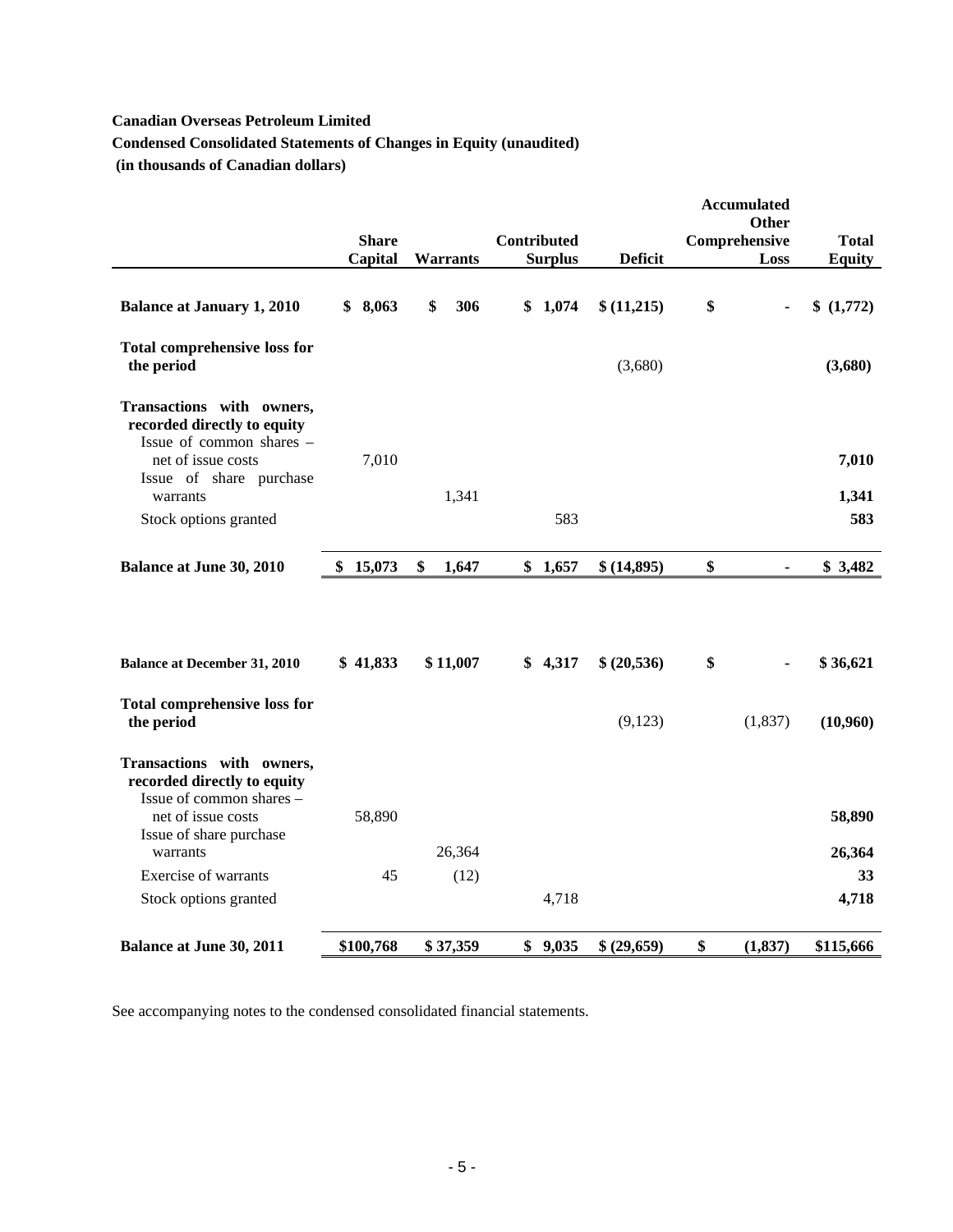# **Canadian Overseas Petroleum Limited**

**Condensed Consolidated Statements of Changes in Equity (unaudited)** 

 **(in thousands of Canadian dollars)** 

|                                                                                      |                         |                 |                                      |                | <b>Accumulated</b><br><b>Other</b> |                        |
|--------------------------------------------------------------------------------------|-------------------------|-----------------|--------------------------------------|----------------|------------------------------------|------------------------|
|                                                                                      | <b>Share</b><br>Capital | <b>Warrants</b> | <b>Contributed</b><br><b>Surplus</b> | <b>Deficit</b> | Comprehensive<br>Loss              | Total<br><b>Equity</b> |
| <b>Balance at January 1, 2010</b>                                                    | \$8,063                 | \$<br>306       | \$1,074                              | \$(11,215)     | \$                                 | \$(1,772)              |
| <b>Total comprehensive loss for</b><br>the period                                    |                         |                 |                                      | (3,680)        |                                    | (3,680)                |
| Transactions with owners,<br>recorded directly to equity<br>Issue of common shares - |                         |                 |                                      |                |                                    |                        |
| net of issue costs<br>Issue of share purchase                                        | 7,010                   |                 |                                      |                |                                    | 7,010                  |
| warrants                                                                             |                         | 1,341           |                                      |                |                                    | 1,341                  |
| Stock options granted                                                                |                         |                 | 583                                  |                |                                    | 583                    |
| <b>Balance at June 30, 2010</b>                                                      | 15,073<br>\$            | \$<br>1,647     | \$1,657                              | \$(14,895)     | \$<br>$\blacksquare$               | \$3,482                |
| <b>Balance at December 31, 2010</b>                                                  | \$41,833                | \$11,007        | \$4,317                              | \$ (20,536)    | \$                                 | \$36,621               |
| <b>Total comprehensive loss for</b><br>the period                                    |                         |                 |                                      | (9,123)        | (1,837)                            | (10,960)               |
| Transactions with owners,<br>recorded directly to equity<br>Issue of common shares - |                         |                 |                                      |                |                                    |                        |
| net of issue costs<br>Issue of share purchase                                        | 58,890                  |                 |                                      |                |                                    | 58,890                 |
| warrants                                                                             |                         | 26,364          |                                      |                |                                    | 26,364                 |
| Exercise of warrants<br>Stock options granted                                        | 45                      | (12)            | 4,718                                |                |                                    | 33<br>4,718            |
|                                                                                      |                         |                 |                                      |                |                                    |                        |
| <b>Balance at June 30, 2011</b>                                                      | \$100,768               | \$37,359        | \$9,035                              | \$ (29,659)    | \$<br>(1, 837)                     | \$115,666              |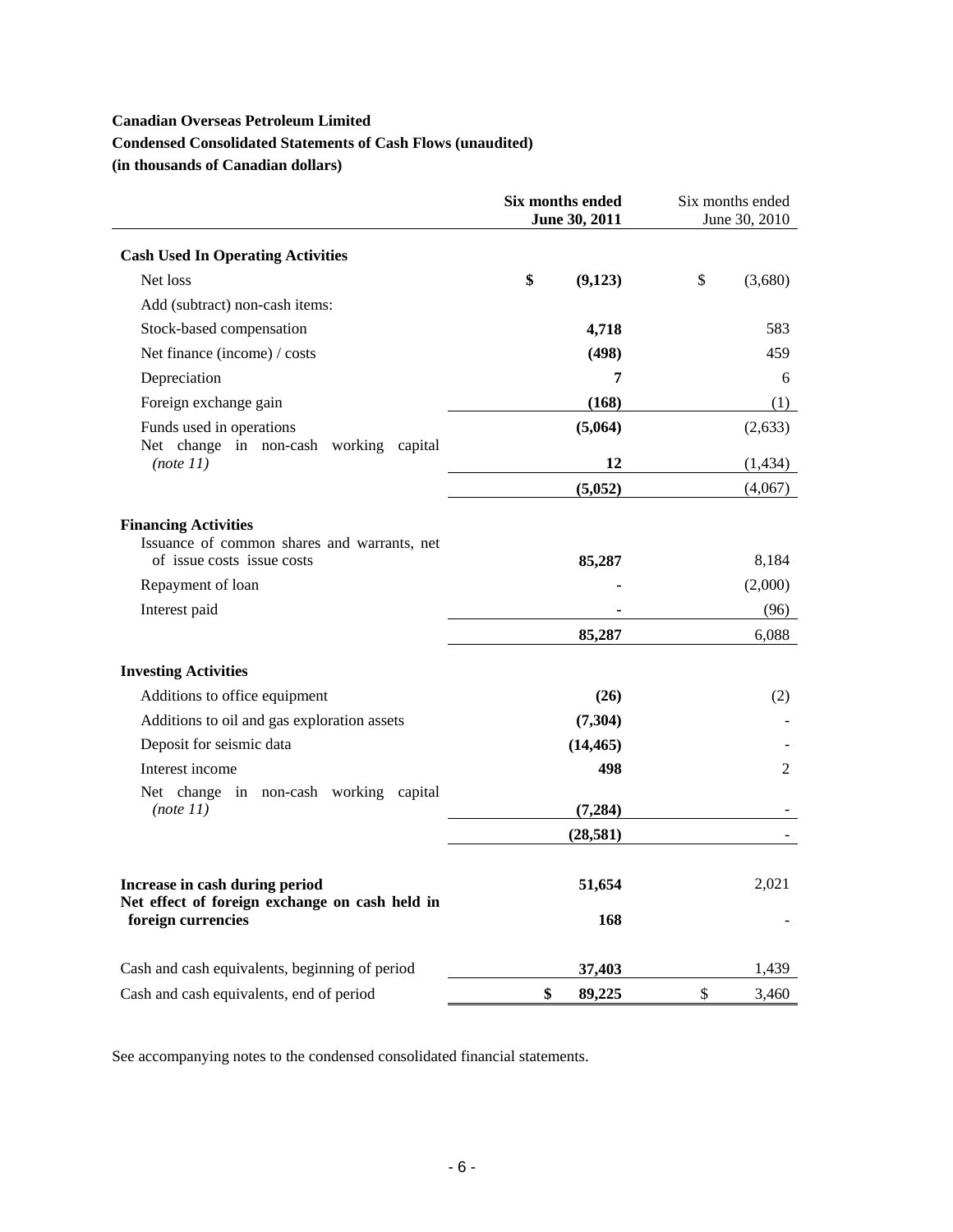# **Canadian Overseas Petroleum Limited**

# **Condensed Consolidated Statements of Cash Flows (unaudited)**

**(in thousands of Canadian dollars)** 

|                                                                                  | Six months ended<br>June 30, 2011 | Six months ended<br>June 30, 2010 |
|----------------------------------------------------------------------------------|-----------------------------------|-----------------------------------|
| <b>Cash Used In Operating Activities</b>                                         |                                   |                                   |
| Net loss                                                                         | \$<br>(9,123)                     | \$<br>(3,680)                     |
| Add (subtract) non-cash items:                                                   |                                   |                                   |
| Stock-based compensation                                                         | 4,718                             | 583                               |
| Net finance (income) / costs                                                     | (498)                             | 459                               |
| Depreciation                                                                     | 7                                 | 6                                 |
| Foreign exchange gain                                                            | (168)                             | (1)                               |
| Funds used in operations<br>Net change in non-cash working capital               | (5,064)                           | (2,633)                           |
| (note 11)                                                                        | 12                                | (1, 434)                          |
|                                                                                  | (5,052)                           | (4,067)                           |
| <b>Financing Activities</b><br>Issuance of common shares and warrants, net       |                                   |                                   |
| of issue costs issue costs                                                       | 85,287                            | 8,184                             |
| Repayment of loan                                                                |                                   | (2,000)                           |
| Interest paid                                                                    | 85,287                            | (96)<br>6,088                     |
|                                                                                  |                                   |                                   |
| <b>Investing Activities</b>                                                      |                                   |                                   |
| Additions to office equipment                                                    | (26)                              | (2)                               |
| Additions to oil and gas exploration assets                                      | (7, 304)                          |                                   |
| Deposit for seismic data                                                         | (14, 465)                         |                                   |
| Interest income                                                                  | 498                               | 2                                 |
| Net change in non-cash working capital<br>(note 11)                              | (7, 284)                          |                                   |
|                                                                                  | (28, 581)                         |                                   |
| Increase in cash during period<br>Net effect of foreign exchange on cash held in | 51,654                            | 2,021                             |
| foreign currencies                                                               | 168                               |                                   |
| Cash and cash equivalents, beginning of period                                   | 37,403                            | 1,439                             |
| Cash and cash equivalents, end of period                                         | \$<br>89,225                      | \$<br>3,460                       |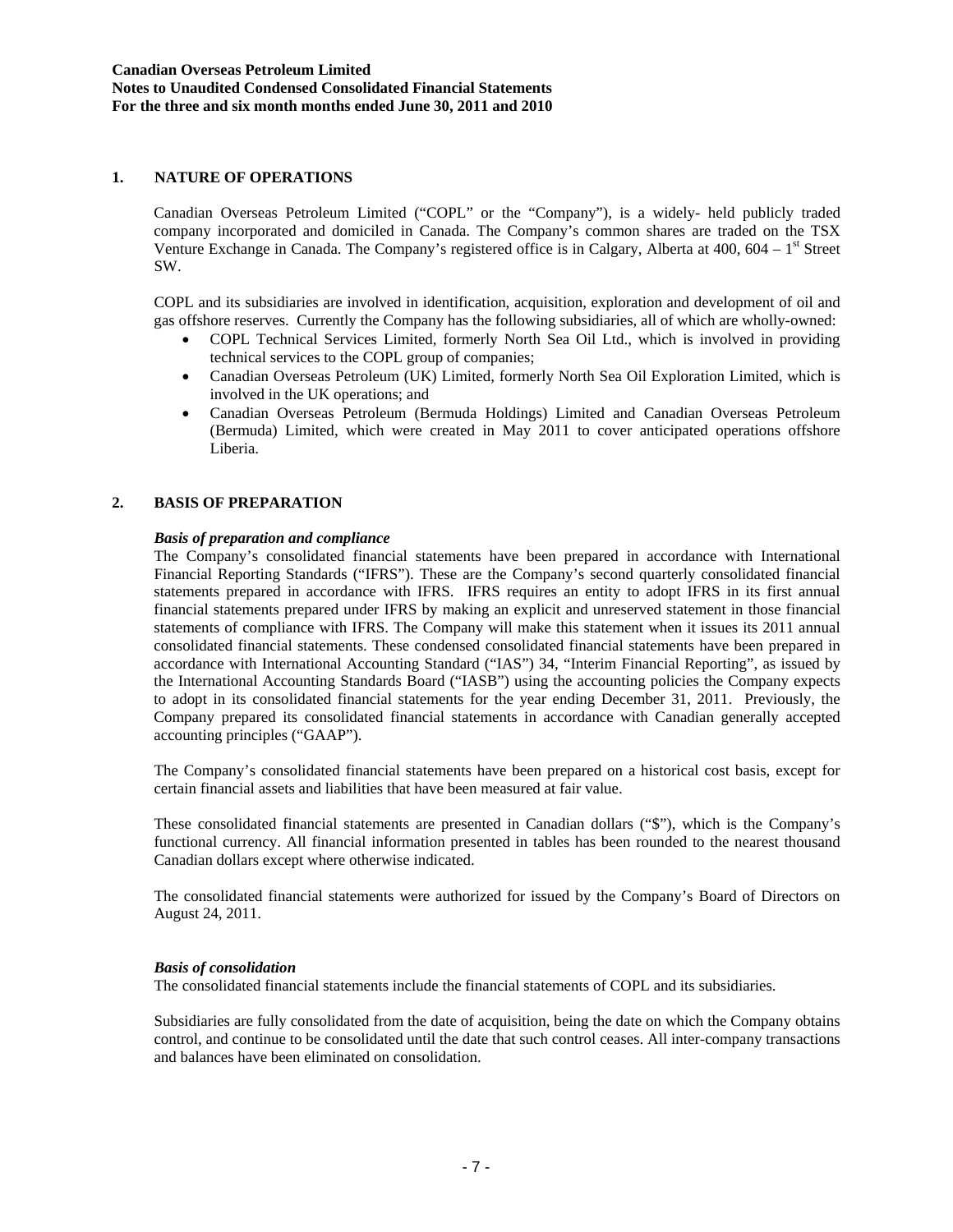### **1. NATURE OF OPERATIONS**

Canadian Overseas Petroleum Limited ("COPL" or the "Company"), is a widely- held publicly traded company incorporated and domiciled in Canada. The Company's common shares are traded on the TSX Venture Exchange in Canada. The Company's registered office is in Calgary, Alberta at 400,  $604 - 1<sup>st</sup>$  Street SW.

COPL and its subsidiaries are involved in identification, acquisition, exploration and development of oil and gas offshore reserves. Currently the Company has the following subsidiaries, all of which are wholly-owned:

- COPL Technical Services Limited, formerly North Sea Oil Ltd., which is involved in providing technical services to the COPL group of companies;
- Canadian Overseas Petroleum (UK) Limited, formerly North Sea Oil Exploration Limited, which is involved in the UK operations; and
- Canadian Overseas Petroleum (Bermuda Holdings) Limited and Canadian Overseas Petroleum (Bermuda) Limited, which were created in May 2011 to cover anticipated operations offshore Liberia.

### **2. BASIS OF PREPARATION**

# *Basis of preparation and compliance*

The Company's consolidated financial statements have been prepared in accordance with International Financial Reporting Standards ("IFRS"). These are the Company's second quarterly consolidated financial statements prepared in accordance with IFRS. IFRS requires an entity to adopt IFRS in its first annual financial statements prepared under IFRS by making an explicit and unreserved statement in those financial statements of compliance with IFRS. The Company will make this statement when it issues its 2011 annual consolidated financial statements. These condensed consolidated financial statements have been prepared in accordance with International Accounting Standard ("IAS") 34, "Interim Financial Reporting", as issued by the International Accounting Standards Board ("IASB") using the accounting policies the Company expects to adopt in its consolidated financial statements for the year ending December 31, 2011. Previously, the Company prepared its consolidated financial statements in accordance with Canadian generally accepted accounting principles ("GAAP").

The Company's consolidated financial statements have been prepared on a historical cost basis, except for certain financial assets and liabilities that have been measured at fair value.

These consolidated financial statements are presented in Canadian dollars ("\$"), which is the Company's functional currency. All financial information presented in tables has been rounded to the nearest thousand Canadian dollars except where otherwise indicated.

The consolidated financial statements were authorized for issued by the Company's Board of Directors on August 24, 2011.

#### *Basis of consolidation*

The consolidated financial statements include the financial statements of COPL and its subsidiaries.

Subsidiaries are fully consolidated from the date of acquisition, being the date on which the Company obtains control, and continue to be consolidated until the date that such control ceases. All inter-company transactions and balances have been eliminated on consolidation.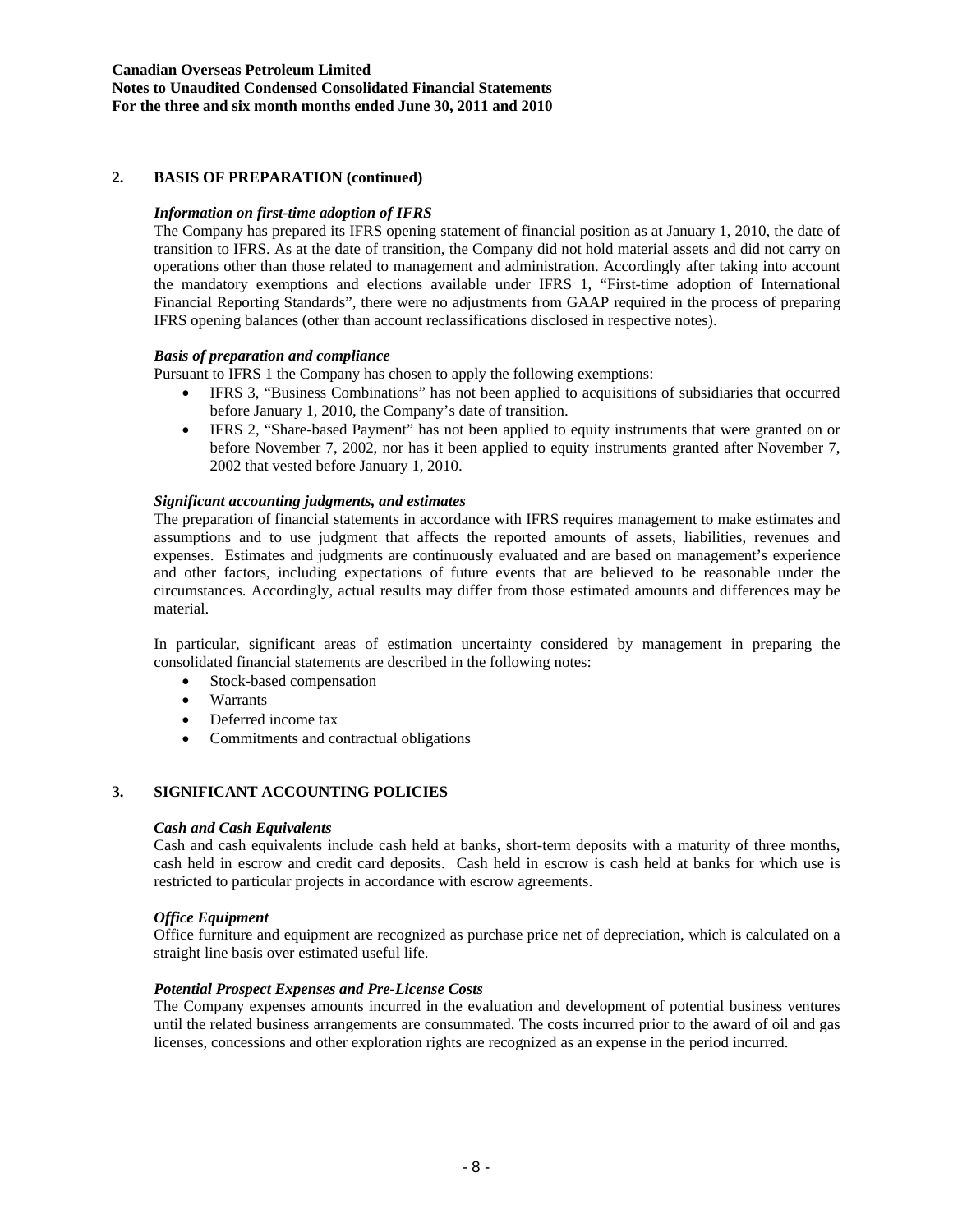# **Canadian Overseas Petroleum Limited Notes to Unaudited Condensed Consolidated Financial Statements For the three and six month months ended June 30, 2011 and 2010**

# **2. BASIS OF PREPARATION (continued)**

# *Information on first-time adoption of IFRS*

The Company has prepared its IFRS opening statement of financial position as at January 1, 2010, the date of transition to IFRS. As at the date of transition, the Company did not hold material assets and did not carry on operations other than those related to management and administration. Accordingly after taking into account the mandatory exemptions and elections available under IFRS 1, "First-time adoption of International Financial Reporting Standards", there were no adjustments from GAAP required in the process of preparing IFRS opening balances (other than account reclassifications disclosed in respective notes).

### *Basis of preparation and compliance*

Pursuant to IFRS 1 the Company has chosen to apply the following exemptions:

- IFRS 3, "Business Combinations" has not been applied to acquisitions of subsidiaries that occurred before January 1, 2010, the Company's date of transition.
- IFRS 2, "Share-based Payment" has not been applied to equity instruments that were granted on or before November 7, 2002, nor has it been applied to equity instruments granted after November 7, 2002 that vested before January 1, 2010.

# *Significant accounting judgments, and estimates*

The preparation of financial statements in accordance with IFRS requires management to make estimates and assumptions and to use judgment that affects the reported amounts of assets, liabilities, revenues and expenses. Estimates and judgments are continuously evaluated and are based on management's experience and other factors, including expectations of future events that are believed to be reasonable under the circumstances. Accordingly, actual results may differ from those estimated amounts and differences may be material.

In particular, significant areas of estimation uncertainty considered by management in preparing the consolidated financial statements are described in the following notes:

- Stock-based compensation
- Warrants
- Deferred income tax
- Commitments and contractual obligations

# **3. SIGNIFICANT ACCOUNTING POLICIES**

# *Cash and Cash Equivalents*

Cash and cash equivalents include cash held at banks, short-term deposits with a maturity of three months, cash held in escrow and credit card deposits. Cash held in escrow is cash held at banks for which use is restricted to particular projects in accordance with escrow agreements.

#### *Office Equipment*

Office furniture and equipment are recognized as purchase price net of depreciation, which is calculated on a straight line basis over estimated useful life.

# *Potential Prospect Expenses and Pre-License Costs*

The Company expenses amounts incurred in the evaluation and development of potential business ventures until the related business arrangements are consummated. The costs incurred prior to the award of oil and gas licenses, concessions and other exploration rights are recognized as an expense in the period incurred.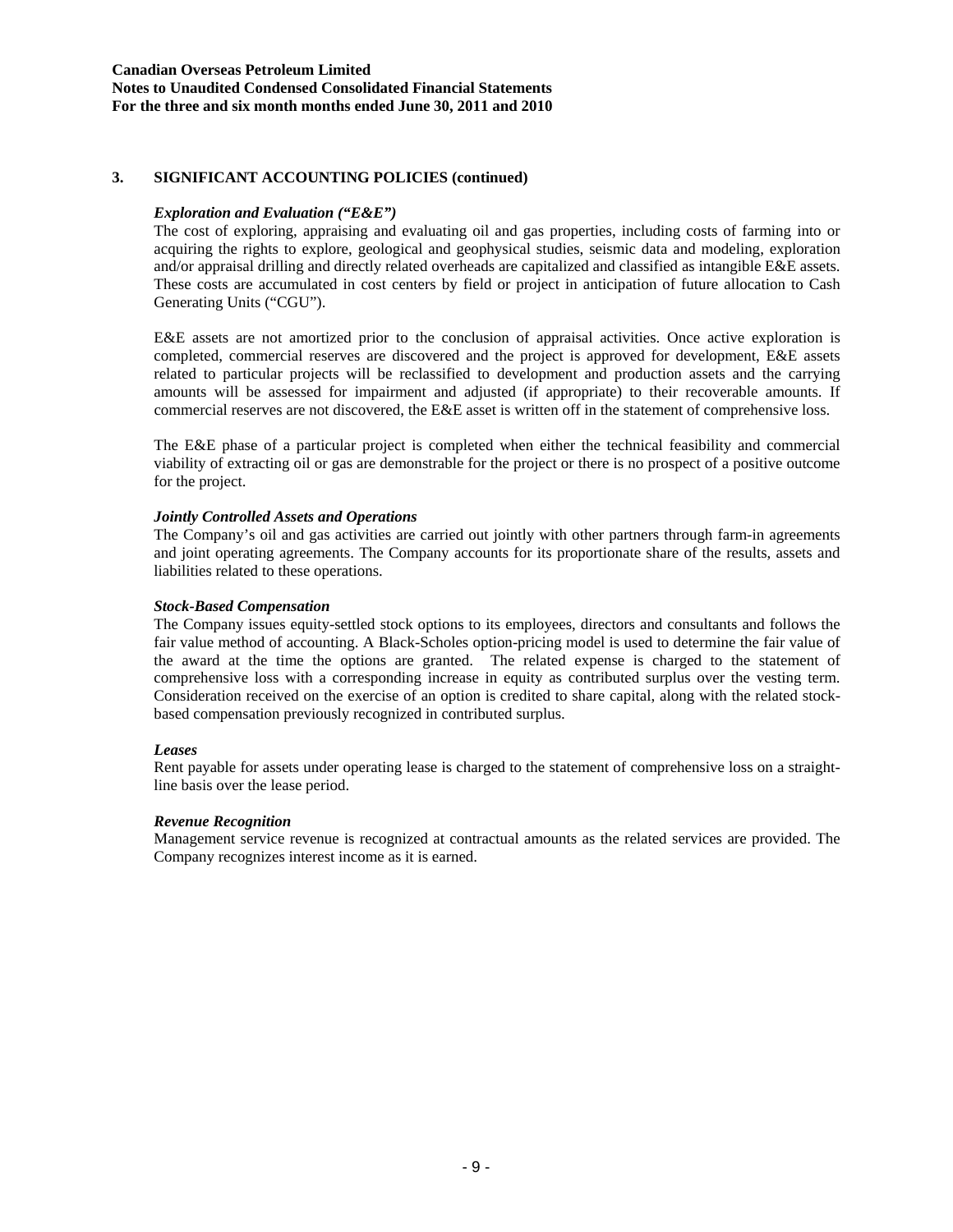# **Canadian Overseas Petroleum Limited Notes to Unaudited Condensed Consolidated Financial Statements For the three and six month months ended June 30, 2011 and 2010**

# **3. SIGNIFICANT ACCOUNTING POLICIES (continued)**

# *Exploration and Evaluation ("E&E")*

The cost of exploring, appraising and evaluating oil and gas properties, including costs of farming into or acquiring the rights to explore, geological and geophysical studies, seismic data and modeling, exploration and/or appraisal drilling and directly related overheads are capitalized and classified as intangible E&E assets. These costs are accumulated in cost centers by field or project in anticipation of future allocation to Cash Generating Units ("CGU").

E&E assets are not amortized prior to the conclusion of appraisal activities. Once active exploration is completed, commercial reserves are discovered and the project is approved for development, E&E assets related to particular projects will be reclassified to development and production assets and the carrying amounts will be assessed for impairment and adjusted (if appropriate) to their recoverable amounts. If commercial reserves are not discovered, the E&E asset is written off in the statement of comprehensive loss.

The E&E phase of a particular project is completed when either the technical feasibility and commercial viability of extracting oil or gas are demonstrable for the project or there is no prospect of a positive outcome for the project.

#### *Jointly Controlled Assets and Operations*

The Company's oil and gas activities are carried out jointly with other partners through farm-in agreements and joint operating agreements. The Company accounts for its proportionate share of the results, assets and liabilities related to these operations.

#### *Stock-Based Compensation*

The Company issues equity-settled stock options to its employees, directors and consultants and follows the fair value method of accounting. A Black-Scholes option-pricing model is used to determine the fair value of the award at the time the options are granted. The related expense is charged to the statement of comprehensive loss with a corresponding increase in equity as contributed surplus over the vesting term. Consideration received on the exercise of an option is credited to share capital, along with the related stockbased compensation previously recognized in contributed surplus.

#### *Leases*

Rent payable for assets under operating lease is charged to the statement of comprehensive loss on a straightline basis over the lease period.

#### *Revenue Recognition*

Management service revenue is recognized at contractual amounts as the related services are provided. The Company recognizes interest income as it is earned.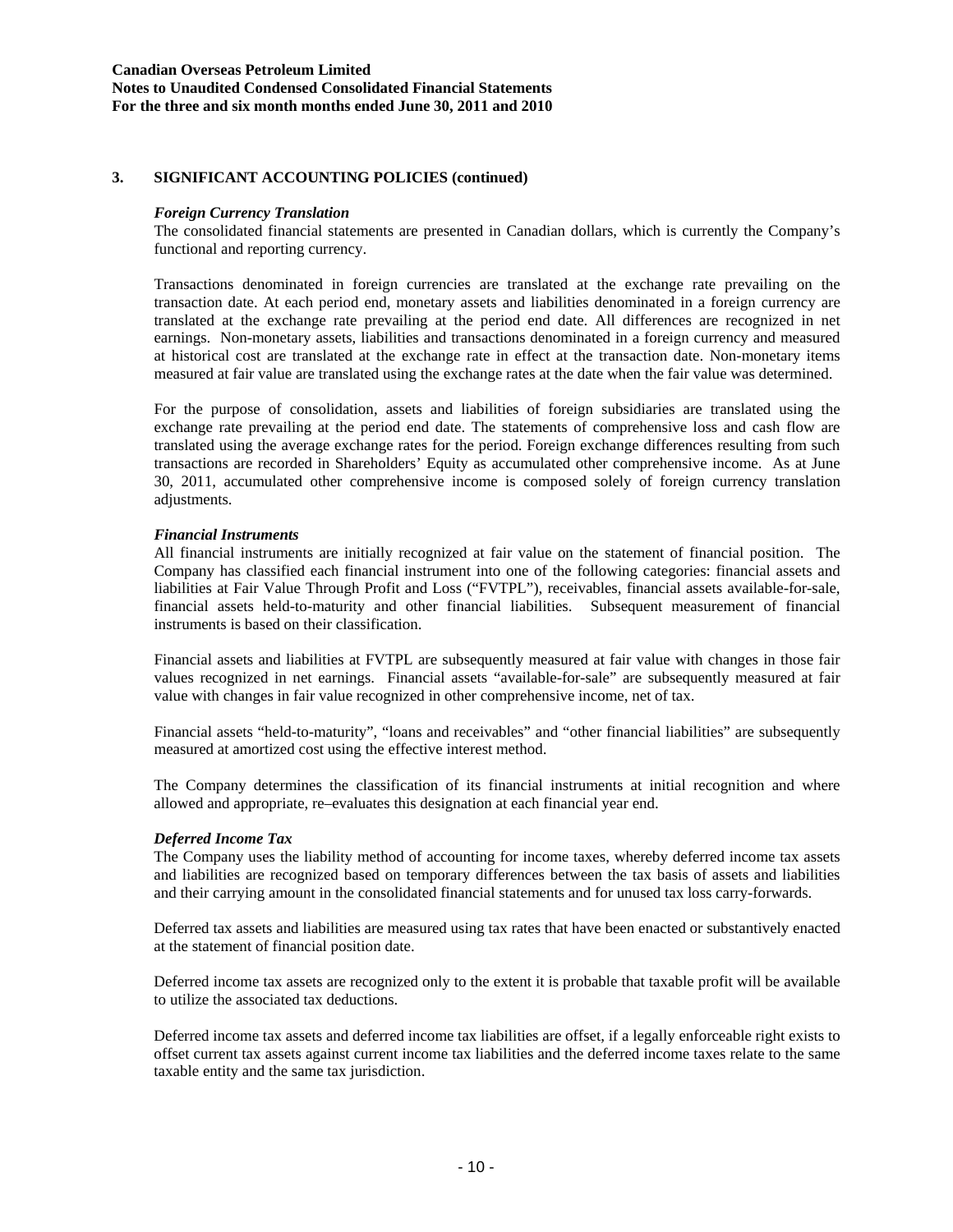# **3. SIGNIFICANT ACCOUNTING POLICIES (continued)**

### *Foreign Currency Translation*

The consolidated financial statements are presented in Canadian dollars, which is currently the Company's functional and reporting currency.

Transactions denominated in foreign currencies are translated at the exchange rate prevailing on the transaction date. At each period end, monetary assets and liabilities denominated in a foreign currency are translated at the exchange rate prevailing at the period end date. All differences are recognized in net earnings. Non-monetary assets, liabilities and transactions denominated in a foreign currency and measured at historical cost are translated at the exchange rate in effect at the transaction date. Non-monetary items measured at fair value are translated using the exchange rates at the date when the fair value was determined.

For the purpose of consolidation, assets and liabilities of foreign subsidiaries are translated using the exchange rate prevailing at the period end date. The statements of comprehensive loss and cash flow are translated using the average exchange rates for the period. Foreign exchange differences resulting from such transactions are recorded in Shareholders' Equity as accumulated other comprehensive income. As at June 30, 2011, accumulated other comprehensive income is composed solely of foreign currency translation adjustments.

### *Financial Instruments*

All financial instruments are initially recognized at fair value on the statement of financial position. The Company has classified each financial instrument into one of the following categories: financial assets and liabilities at Fair Value Through Profit and Loss ("FVTPL"), receivables, financial assets available-for-sale, financial assets held-to-maturity and other financial liabilities. Subsequent measurement of financial instruments is based on their classification.

Financial assets and liabilities at FVTPL are subsequently measured at fair value with changes in those fair values recognized in net earnings. Financial assets "available-for-sale" are subsequently measured at fair value with changes in fair value recognized in other comprehensive income, net of tax.

Financial assets "held-to-maturity", "loans and receivables" and "other financial liabilities" are subsequently measured at amortized cost using the effective interest method.

The Company determines the classification of its financial instruments at initial recognition and where allowed and appropriate, re–evaluates this designation at each financial year end.

#### *Deferred Income Tax*

The Company uses the liability method of accounting for income taxes, whereby deferred income tax assets and liabilities are recognized based on temporary differences between the tax basis of assets and liabilities and their carrying amount in the consolidated financial statements and for unused tax loss carry-forwards.

Deferred tax assets and liabilities are measured using tax rates that have been enacted or substantively enacted at the statement of financial position date.

Deferred income tax assets are recognized only to the extent it is probable that taxable profit will be available to utilize the associated tax deductions.

Deferred income tax assets and deferred income tax liabilities are offset, if a legally enforceable right exists to offset current tax assets against current income tax liabilities and the deferred income taxes relate to the same taxable entity and the same tax jurisdiction.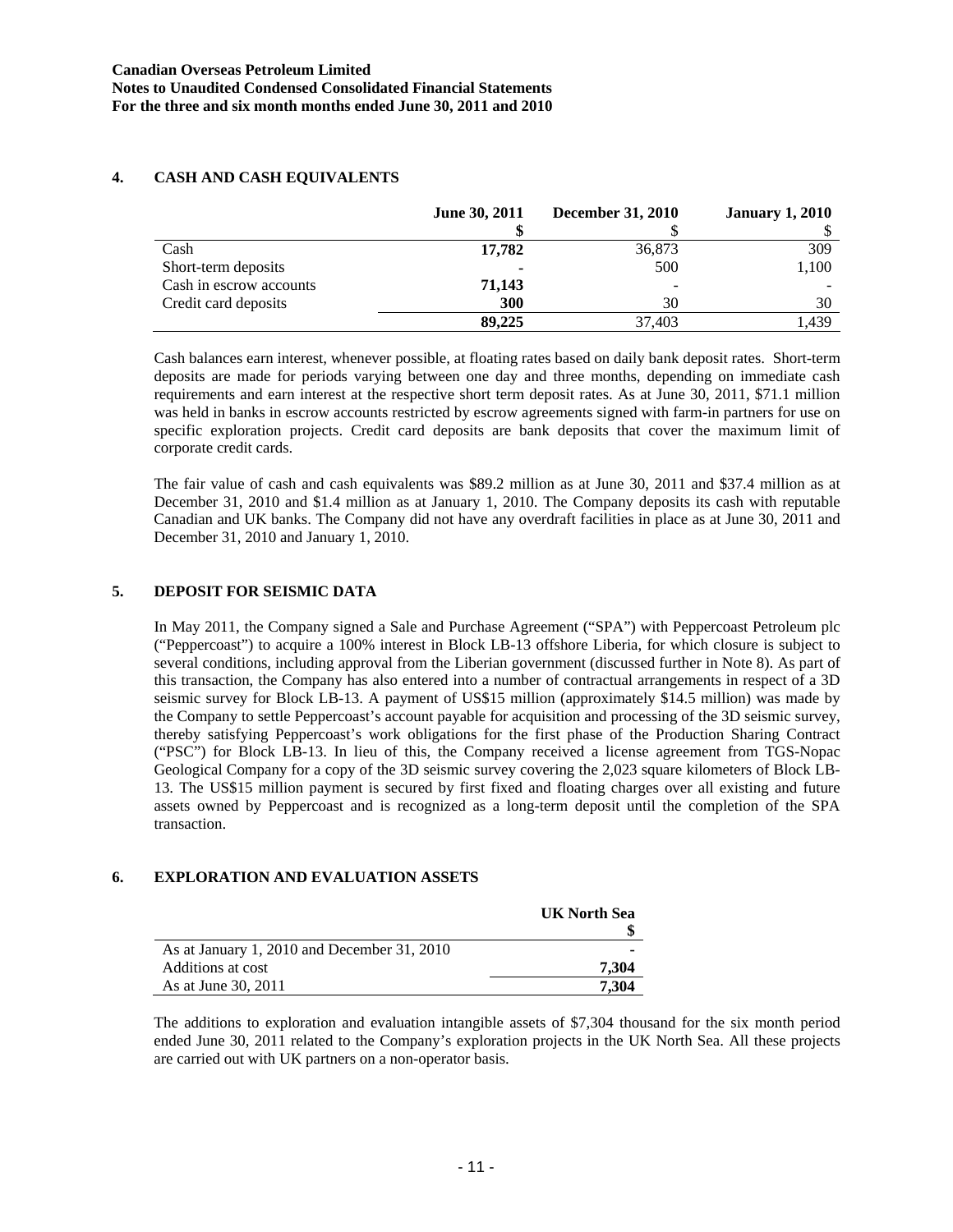|                         | June 30, 2011 | <b>December 31, 2010</b> | <b>January 1, 2010</b> |
|-------------------------|---------------|--------------------------|------------------------|
|                         |               |                          |                        |
| Cash                    | 17,782        | 36,873                   | 309                    |
| Short-term deposits     |               | 500                      | 1,100                  |
| Cash in escrow accounts | 71,143        | $\overline{\phantom{a}}$ |                        |
| Credit card deposits    | 300           | 30                       | 30                     |
|                         | 89,225        | 37.403                   | . 439                  |

# **4. CASH AND CASH EQUIVALENTS**

Cash balances earn interest, whenever possible, at floating rates based on daily bank deposit rates. Short-term deposits are made for periods varying between one day and three months, depending on immediate cash requirements and earn interest at the respective short term deposit rates. As at June 30, 2011, \$71.1 million was held in banks in escrow accounts restricted by escrow agreements signed with farm-in partners for use on specific exploration projects. Credit card deposits are bank deposits that cover the maximum limit of corporate credit cards.

The fair value of cash and cash equivalents was \$89.2 million as at June 30, 2011 and \$37.4 million as at December 31, 2010 and \$1.4 million as at January 1, 2010. The Company deposits its cash with reputable Canadian and UK banks. The Company did not have any overdraft facilities in place as at June 30, 2011 and December 31, 2010 and January 1, 2010.

# **5. DEPOSIT FOR SEISMIC DATA**

In May 2011, the Company signed a Sale and Purchase Agreement ("SPA") with Peppercoast Petroleum plc ("Peppercoast") to acquire a 100% interest in Block LB-13 offshore Liberia, for which closure is subject to several conditions, including approval from the Liberian government (discussed further in Note 8). As part of this transaction, the Company has also entered into a number of contractual arrangements in respect of a 3D seismic survey for Block LB-13. A payment of US\$15 million (approximately \$14.5 million) was made by the Company to settle Peppercoast's account payable for acquisition and processing of the 3D seismic survey, thereby satisfying Peppercoast's work obligations for the first phase of the Production Sharing Contract ("PSC") for Block LB-13. In lieu of this, the Company received a license agreement from TGS-Nopac Geological Company for a copy of the 3D seismic survey covering the 2,023 square kilometers of Block LB-13. The US\$15 million payment is secured by first fixed and floating charges over all existing and future assets owned by Peppercoast and is recognized as a long-term deposit until the completion of the SPA transaction.

# **6. EXPLORATION AND EVALUATION ASSETS**

|                                             | <b>UK North Sea</b> |
|---------------------------------------------|---------------------|
|                                             |                     |
| As at January 1, 2010 and December 31, 2010 |                     |
| Additions at cost                           | 7.304               |
| As at June 30, 2011                         | 7.304               |

The additions to exploration and evaluation intangible assets of \$7,304 thousand for the six month period ended June 30, 2011 related to the Company's exploration projects in the UK North Sea. All these projects are carried out with UK partners on a non-operator basis.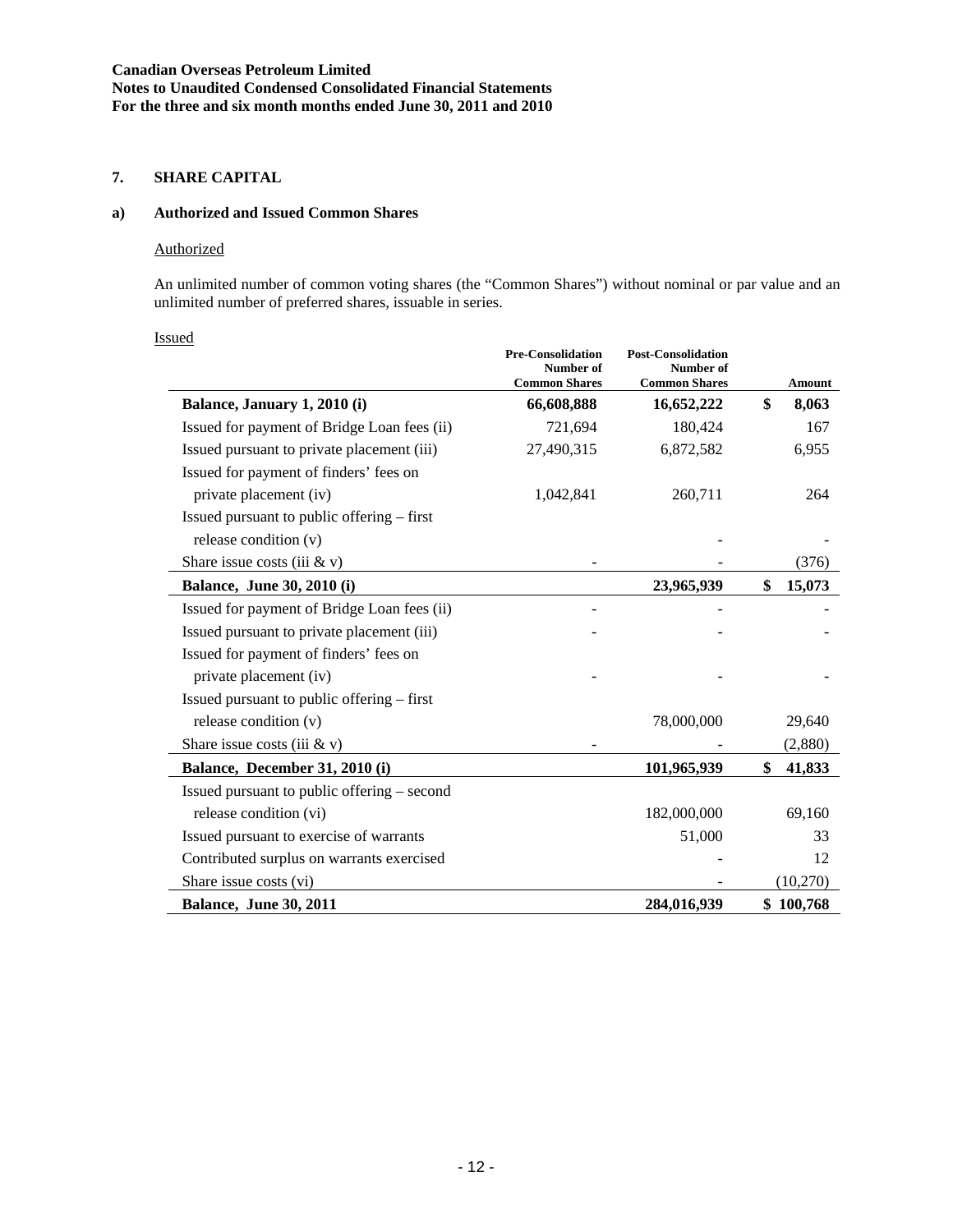# **7. SHARE CAPITAL**

# **a) Authorized and Issued Common Shares**

#### Authorized

An unlimited number of common voting shares (the "Common Shares") without nominal or par value and an unlimited number of preferred shares, issuable in series.

|--|

|                                             | <b>Pre-Consolidation</b><br>Number of<br><b>Common Shares</b> | <b>Post-Consolidation</b><br>Number of<br><b>Common Shares</b> | Amount       |
|---------------------------------------------|---------------------------------------------------------------|----------------------------------------------------------------|--------------|
| Balance, January 1, 2010 (i)                | 66,608,888                                                    | 16,652,222                                                     | \$<br>8,063  |
| Issued for payment of Bridge Loan fees (ii) | 721,694                                                       | 180,424                                                        | 167          |
| Issued pursuant to private placement (iii)  | 27,490,315                                                    | 6,872,582                                                      | 6,955        |
| Issued for payment of finders' fees on      |                                                               |                                                                |              |
| private placement (iv)                      | 1,042,841                                                     | 260,711                                                        | 264          |
| Issued pursuant to public offering – first  |                                                               |                                                                |              |
| release condition $(v)$                     |                                                               |                                                                |              |
| Share issue costs (iii $&$ v)               |                                                               |                                                                | (376)        |
| <b>Balance, June 30, 2010 (i)</b>           |                                                               | 23,965,939                                                     | \$<br>15,073 |
| Issued for payment of Bridge Loan fees (ii) |                                                               |                                                                |              |
| Issued pursuant to private placement (iii)  |                                                               |                                                                |              |
| Issued for payment of finders' fees on      |                                                               |                                                                |              |
| private placement (iv)                      |                                                               |                                                                |              |
| Issued pursuant to public offering – first  |                                                               |                                                                |              |
| release condition $(v)$                     |                                                               | 78,000,000                                                     | 29,640       |
| Share issue costs (iii $&$ v)               |                                                               |                                                                | (2,880)      |
| Balance, December 31, 2010 (i)              |                                                               | 101,965,939                                                    | \$<br>41,833 |
| Issued pursuant to public offering – second |                                                               |                                                                |              |
| release condition (vi)                      |                                                               | 182,000,000                                                    | 69,160       |
| Issued pursuant to exercise of warrants     |                                                               | 51,000                                                         | 33           |
| Contributed surplus on warrants exercised   |                                                               |                                                                | 12           |
| Share issue costs (vi)                      |                                                               |                                                                | (10,270)     |
| <b>Balance, June 30, 2011</b>               |                                                               | 284,016,939                                                    | \$100,768    |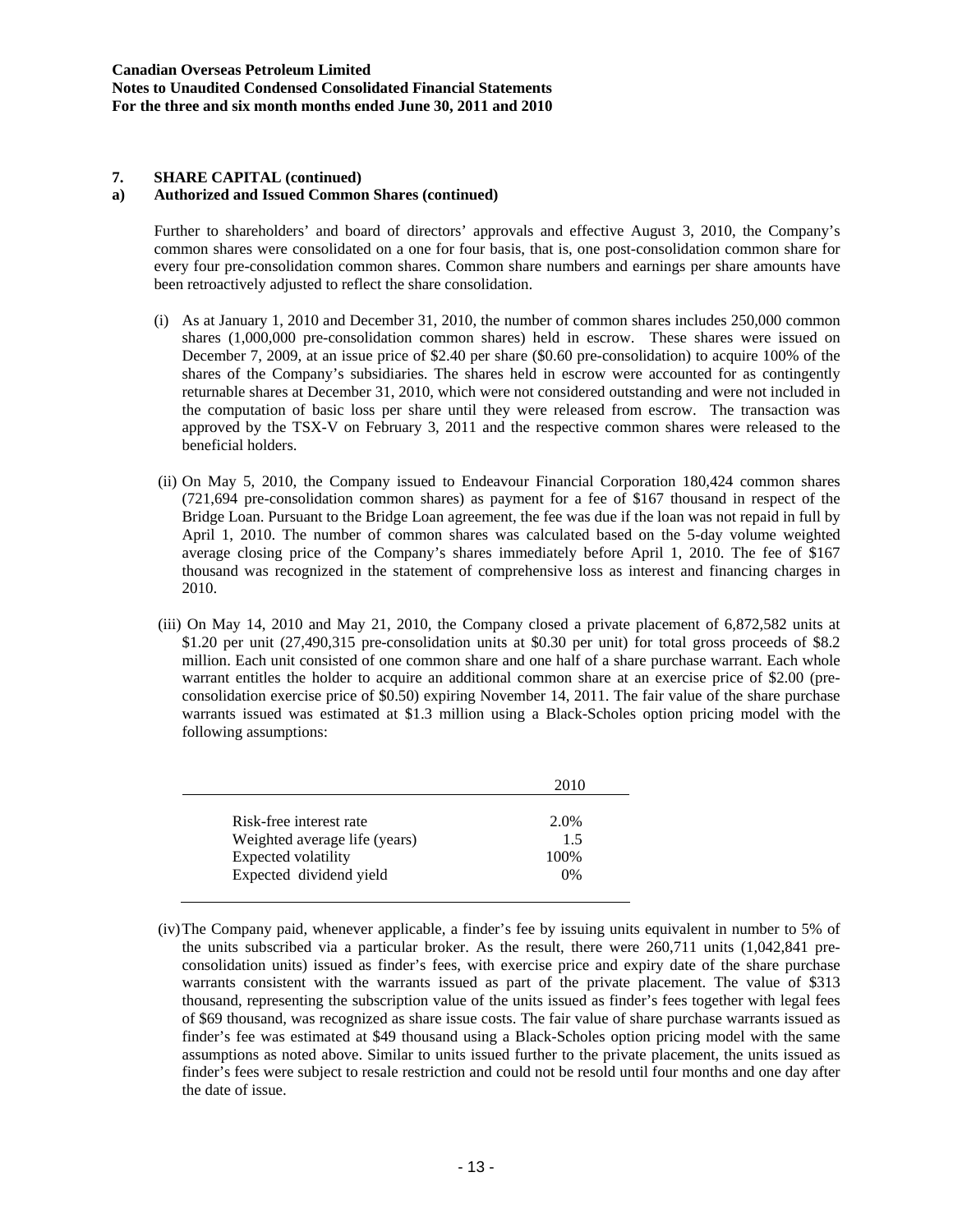### **a) Authorized and Issued Common Shares (continued)**

Further to shareholders' and board of directors' approvals and effective August 3, 2010, the Company's common shares were consolidated on a one for four basis, that is, one post-consolidation common share for every four pre-consolidation common shares. Common share numbers and earnings per share amounts have been retroactively adjusted to reflect the share consolidation.

- (i) As at January 1, 2010 and December 31, 2010, the number of common shares includes 250,000 common shares (1,000,000 pre-consolidation common shares) held in escrow. These shares were issued on December 7, 2009, at an issue price of \$2.40 per share (\$0.60 pre-consolidation) to acquire 100% of the shares of the Company's subsidiaries. The shares held in escrow were accounted for as contingently returnable shares at December 31, 2010, which were not considered outstanding and were not included in the computation of basic loss per share until they were released from escrow. The transaction was approved by the TSX-V on February 3, 2011 and the respective common shares were released to the beneficial holders.
- (ii) On May 5, 2010, the Company issued to Endeavour Financial Corporation 180,424 common shares (721,694 pre-consolidation common shares) as payment for a fee of \$167 thousand in respect of the Bridge Loan. Pursuant to the Bridge Loan agreement, the fee was due if the loan was not repaid in full by April 1, 2010. The number of common shares was calculated based on the 5-day volume weighted average closing price of the Company's shares immediately before April 1, 2010. The fee of \$167 thousand was recognized in the statement of comprehensive loss as interest and financing charges in 2010.
- (iii) On May 14, 2010 and May 21, 2010, the Company closed a private placement of 6,872,582 units at \$1.20 per unit (27,490,315 pre-consolidation units at \$0.30 per unit) for total gross proceeds of \$8.2 million. Each unit consisted of one common share and one half of a share purchase warrant. Each whole warrant entitles the holder to acquire an additional common share at an exercise price of \$2.00 (preconsolidation exercise price of \$0.50) expiring November 14, 2011. The fair value of the share purchase warrants issued was estimated at \$1.3 million using a Black-Scholes option pricing model with the following assumptions:

|                                                                                                            | 2010                      |
|------------------------------------------------------------------------------------------------------------|---------------------------|
| Risk-free interest rate<br>Weighted average life (years)<br>Expected volatility<br>Expected dividend yield | 2.0%<br>1.5<br>100%<br>0% |
|                                                                                                            |                           |

 <sup>(</sup>iv) The Company paid, whenever applicable, a finder's fee by issuing units equivalent in number to 5% of the units subscribed via a particular broker. As the result, there were 260,711 units (1,042,841 preconsolidation units) issued as finder's fees, with exercise price and expiry date of the share purchase warrants consistent with the warrants issued as part of the private placement. The value of \$313 thousand, representing the subscription value of the units issued as finder's fees together with legal fees of \$69 thousand, was recognized as share issue costs. The fair value of share purchase warrants issued as finder's fee was estimated at \$49 thousand using a Black-Scholes option pricing model with the same assumptions as noted above. Similar to units issued further to the private placement, the units issued as finder's fees were subject to resale restriction and could not be resold until four months and one day after the date of issue.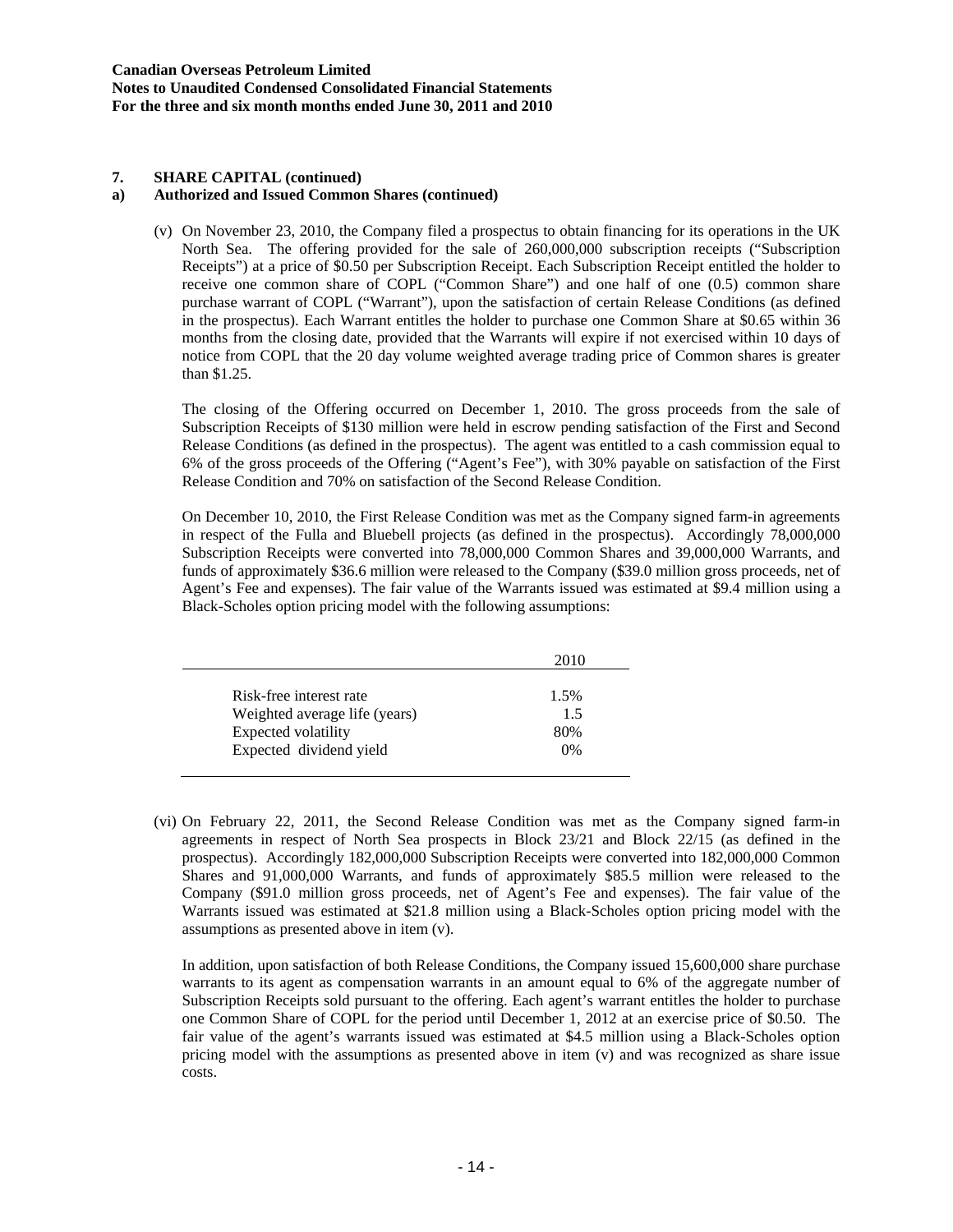### **a) Authorized and Issued Common Shares (continued)**

(v) On November 23, 2010, the Company filed a prospectus to obtain financing for its operations in the UK North Sea. The offering provided for the sale of 260,000,000 subscription receipts ("Subscription Receipts") at a price of \$0.50 per Subscription Receipt. Each Subscription Receipt entitled the holder to receive one common share of COPL ("Common Share") and one half of one (0.5) common share purchase warrant of COPL ("Warrant"), upon the satisfaction of certain Release Conditions (as defined in the prospectus). Each Warrant entitles the holder to purchase one Common Share at \$0.65 within 36 months from the closing date, provided that the Warrants will expire if not exercised within 10 days of notice from COPL that the 20 day volume weighted average trading price of Common shares is greater than \$1.25.

The closing of the Offering occurred on December 1, 2010. The gross proceeds from the sale of Subscription Receipts of \$130 million were held in escrow pending satisfaction of the First and Second Release Conditions (as defined in the prospectus). The agent was entitled to a cash commission equal to 6% of the gross proceeds of the Offering ("Agent's Fee"), with 30% payable on satisfaction of the First Release Condition and 70% on satisfaction of the Second Release Condition.

On December 10, 2010, the First Release Condition was met as the Company signed farm-in agreements in respect of the Fulla and Bluebell projects (as defined in the prospectus). Accordingly 78,000,000 Subscription Receipts were converted into 78,000,000 Common Shares and 39,000,000 Warrants, and funds of approximately \$36.6 million were released to the Company (\$39.0 million gross proceeds, net of Agent's Fee and expenses). The fair value of the Warrants issued was estimated at \$9.4 million using a Black-Scholes option pricing model with the following assumptions:

|                               | 2010 |
|-------------------------------|------|
| Risk-free interest rate       | 1.5% |
| Weighted average life (years) | 1.5  |
| Expected volatility           | 80%  |
| Expected dividend yield       | 0%   |

(vi) On February 22, 2011, the Second Release Condition was met as the Company signed farm-in agreements in respect of North Sea prospects in Block 23/21 and Block 22/15 (as defined in the prospectus). Accordingly 182,000,000 Subscription Receipts were converted into 182,000,000 Common Shares and 91,000,000 Warrants, and funds of approximately \$85.5 million were released to the Company (\$91.0 million gross proceeds, net of Agent's Fee and expenses). The fair value of the Warrants issued was estimated at \$21.8 million using a Black-Scholes option pricing model with the assumptions as presented above in item (v).

In addition, upon satisfaction of both Release Conditions, the Company issued 15,600,000 share purchase warrants to its agent as compensation warrants in an amount equal to 6% of the aggregate number of Subscription Receipts sold pursuant to the offering. Each agent's warrant entitles the holder to purchase one Common Share of COPL for the period until December 1, 2012 at an exercise price of \$0.50. The fair value of the agent's warrants issued was estimated at \$4.5 million using a Black-Scholes option pricing model with the assumptions as presented above in item (v) and was recognized as share issue costs.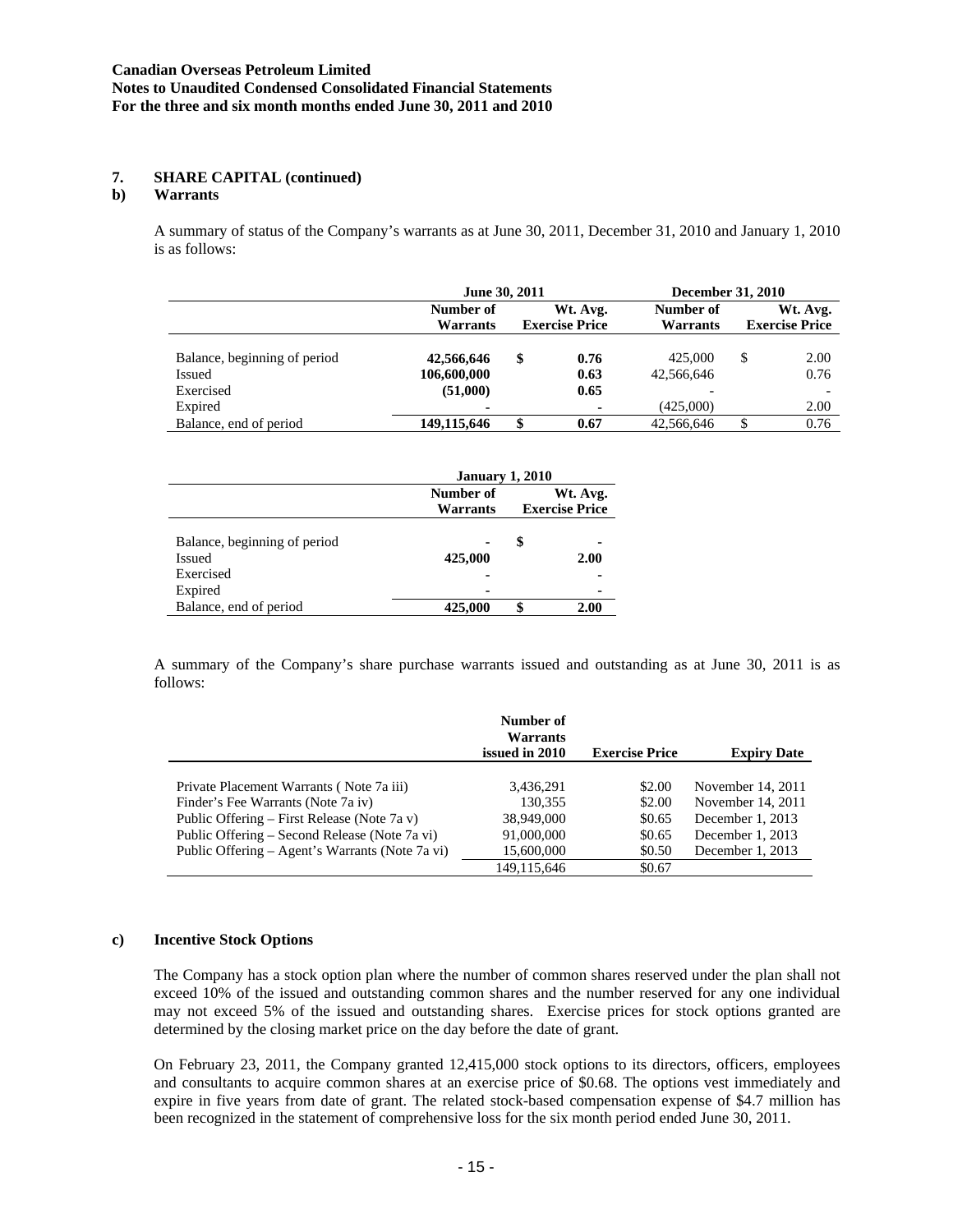# **b) Warrants**

A summary of status of the Company's warrants as at June 30, 2011, December 31, 2010 and January 1, 2010 is as follows:

|                              | June 30, 2011 |    |                       | December 31, 2010 |    |                       |  |
|------------------------------|---------------|----|-----------------------|-------------------|----|-----------------------|--|
|                              | Number of     |    | Wt. Avg.              | Number of         |    | Wt. Avg.              |  |
|                              | Warrants      |    | <b>Exercise Price</b> | Warrants          |    | <b>Exercise Price</b> |  |
|                              |               |    |                       |                   |    |                       |  |
| Balance, beginning of period | 42,566,646    | \$ | 0.76                  | 425,000           | S  | 2.00                  |  |
| Issued                       | 106,600,000   |    | 0.63                  | 42.566.646        |    | 0.76                  |  |
| Exercised                    | (51,000)      |    | 0.65                  |                   |    |                       |  |
| Expired                      | ۰             |    |                       | (425,000)         |    | 2.00                  |  |
| Balance, end of period       | 149,115,646   |    | 0.67                  | 42,566,646        | \$ | 0.76                  |  |

|                              | <b>January 1, 2010</b> |          |                       |  |  |
|------------------------------|------------------------|----------|-----------------------|--|--|
|                              | Number of              | Wt. Avg. |                       |  |  |
|                              | Warrants               |          | <b>Exercise Price</b> |  |  |
|                              |                        |          |                       |  |  |
| Balance, beginning of period |                        | S        |                       |  |  |
| Issued                       | 425,000                |          | 2.00                  |  |  |
| Exercised                    |                        |          |                       |  |  |
| Expired                      | -                      |          |                       |  |  |
| Balance, end of period       | 425,000                |          | 2.00                  |  |  |

A summary of the Company's share purchase warrants issued and outstanding as at June 30, 2011 is as follows:

|                                                 | Number of<br>Warrants<br>issued in 2010 | <b>Exercise Price</b> | <b>Expiry Date</b> |
|-------------------------------------------------|-----------------------------------------|-----------------------|--------------------|
|                                                 |                                         |                       |                    |
| Private Placement Warrants (Note 7a iii)        | 3,436,291                               | \$2.00                | November 14, 2011  |
| Finder's Fee Warrants (Note 7a iv)              | 130.355                                 | \$2.00                | November 14, 2011  |
| Public Offering – First Release (Note 7a v)     | 38,949,000                              | \$0.65                | December 1, 2013   |
| Public Offering – Second Release (Note 7a vi)   | 91,000,000                              | \$0.65                | December 1, 2013   |
| Public Offering – Agent's Warrants (Note 7a vi) | 15,600,000                              | \$0.50                | December 1, 2013   |
|                                                 | 149.115.646                             | \$0.67                |                    |

#### **c) Incentive Stock Options**

The Company has a stock option plan where the number of common shares reserved under the plan shall not exceed 10% of the issued and outstanding common shares and the number reserved for any one individual may not exceed 5% of the issued and outstanding shares. Exercise prices for stock options granted are determined by the closing market price on the day before the date of grant.

On February 23, 2011, the Company granted 12,415,000 stock options to its directors, officers, employees and consultants to acquire common shares at an exercise price of \$0.68. The options vest immediately and expire in five years from date of grant. The related stock-based compensation expense of \$4.7 million has been recognized in the statement of comprehensive loss for the six month period ended June 30, 2011.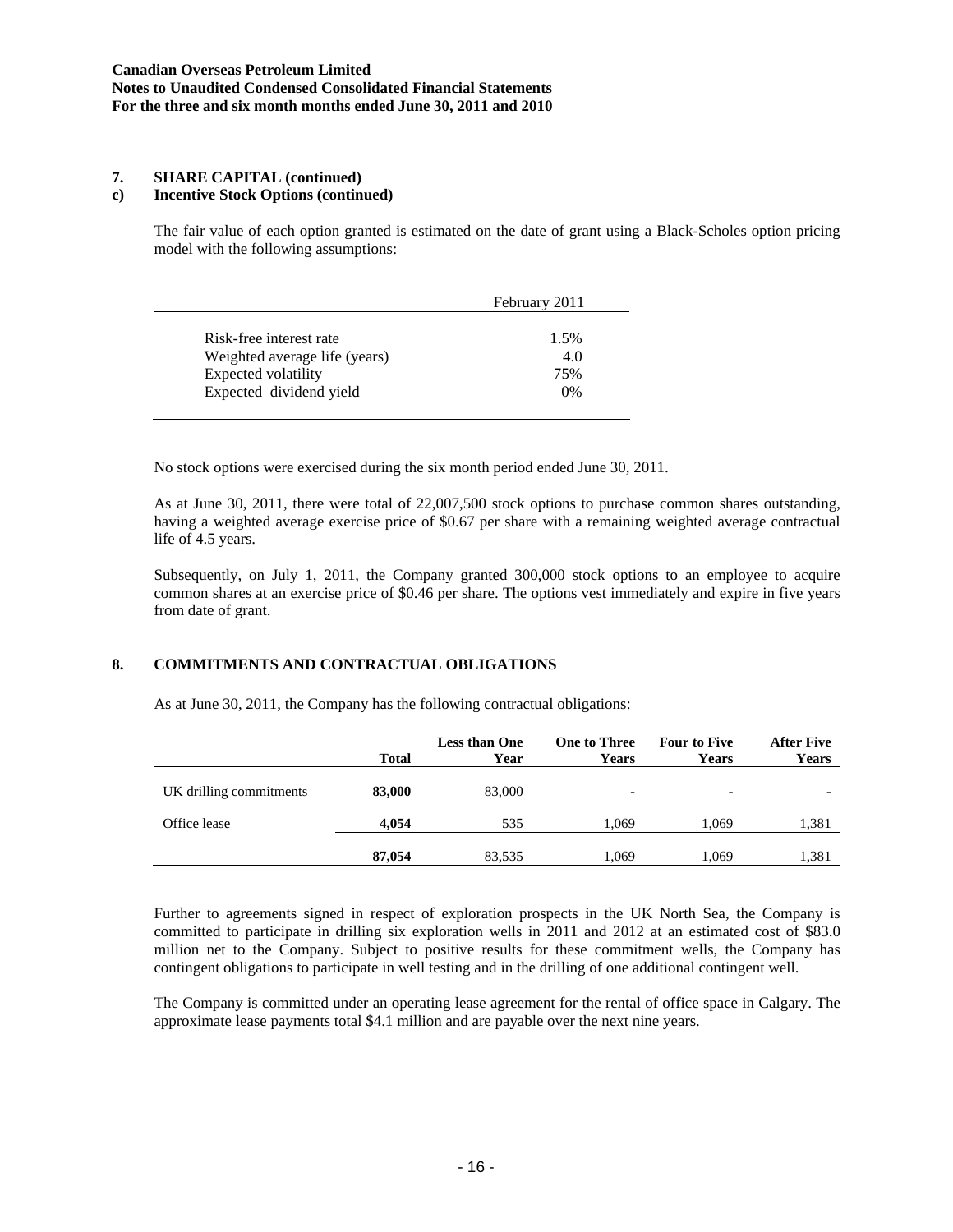# **c) Incentive Stock Options (continued)**

The fair value of each option granted is estimated on the date of grant using a Black-Scholes option pricing model with the following assumptions:

|                               | February 2011 |
|-------------------------------|---------------|
| Risk-free interest rate       | 1.5%          |
| Weighted average life (years) | 4.0           |
| Expected volatility           | 75%           |
| Expected dividend yield       | 0%            |

No stock options were exercised during the six month period ended June 30, 2011.

As at June 30, 2011, there were total of 22,007,500 stock options to purchase common shares outstanding, having a weighted average exercise price of \$0.67 per share with a remaining weighted average contractual life of 4.5 years.

Subsequently, on July 1, 2011, the Company granted 300,000 stock options to an employee to acquire common shares at an exercise price of \$0.46 per share. The options vest immediately and expire in five years from date of grant.

# **8. COMMITMENTS AND CONTRACTUAL OBLIGATIONS**

As at June 30, 2011, the Company has the following contractual obligations:

|                         | <b>Total</b> | <b>Less than One</b><br>Year | <b>One to Three</b><br>Years | <b>Four to Five</b><br>Years | <b>After Five</b><br><b>Years</b> |
|-------------------------|--------------|------------------------------|------------------------------|------------------------------|-----------------------------------|
| UK drilling commitments | 83,000       | 83,000                       | $\overline{\phantom{a}}$     | $\overline{\phantom{a}}$     |                                   |
| Office lease            | 4.054        | 535                          | 1.069                        | 1,069                        | 1,381                             |
|                         | 87,054       | 83,535                       | 1.069                        | 1,069                        | 1,381                             |

Further to agreements signed in respect of exploration prospects in the UK North Sea, the Company is committed to participate in drilling six exploration wells in 2011 and 2012 at an estimated cost of \$83.0 million net to the Company. Subject to positive results for these commitment wells, the Company has contingent obligations to participate in well testing and in the drilling of one additional contingent well.

The Company is committed under an operating lease agreement for the rental of office space in Calgary. The approximate lease payments total \$4.1 million and are payable over the next nine years.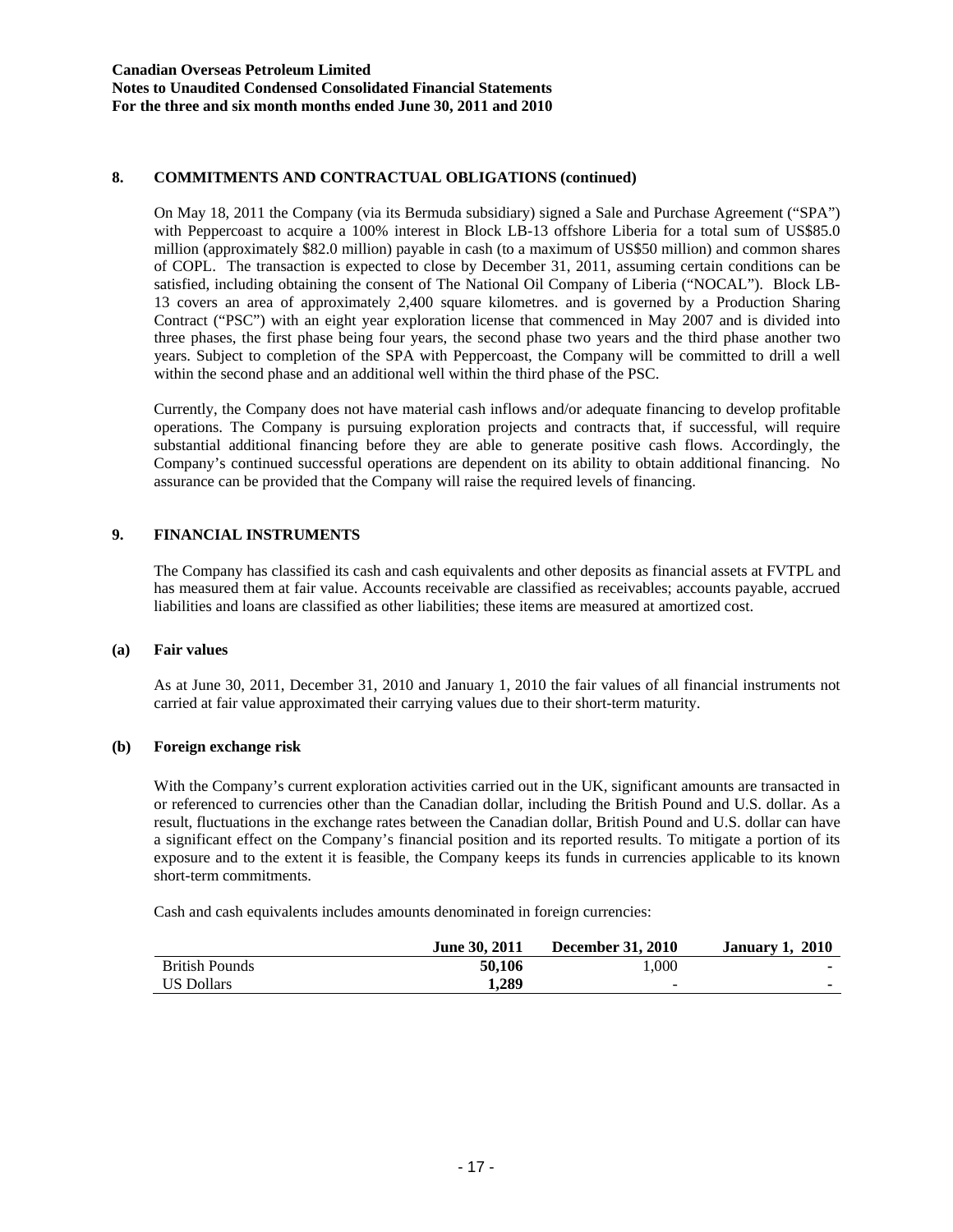# **8. COMMITMENTS AND CONTRACTUAL OBLIGATIONS (continued)**

On May 18, 2011 the Company (via its Bermuda subsidiary) signed a Sale and Purchase Agreement ("SPA") with Peppercoast to acquire a 100% interest in Block LB-13 offshore Liberia for a total sum of US\$85.0 million (approximately \$82.0 million) payable in cash (to a maximum of US\$50 million) and common shares of COPL. The transaction is expected to close by December 31, 2011, assuming certain conditions can be satisfied, including obtaining the consent of The National Oil Company of Liberia ("NOCAL"). Block LB-13 covers an area of approximately 2,400 square kilometres. and is governed by a Production Sharing Contract ("PSC") with an eight year exploration license that commenced in May 2007 and is divided into three phases, the first phase being four years, the second phase two years and the third phase another two years. Subject to completion of the SPA with Peppercoast, the Company will be committed to drill a well within the second phase and an additional well within the third phase of the PSC.

Currently, the Company does not have material cash inflows and/or adequate financing to develop profitable operations. The Company is pursuing exploration projects and contracts that, if successful, will require substantial additional financing before they are able to generate positive cash flows. Accordingly, the Company's continued successful operations are dependent on its ability to obtain additional financing. No assurance can be provided that the Company will raise the required levels of financing.

# **9. FINANCIAL INSTRUMENTS**

The Company has classified its cash and cash equivalents and other deposits as financial assets at FVTPL and has measured them at fair value. Accounts receivable are classified as receivables; accounts payable, accrued liabilities and loans are classified as other liabilities; these items are measured at amortized cost.

#### **(a) Fair values**

As at June 30, 2011, December 31, 2010 and January 1, 2010 the fair values of all financial instruments not carried at fair value approximated their carrying values due to their short-term maturity.

#### **(b) Foreign exchange risk**

With the Company's current exploration activities carried out in the UK, significant amounts are transacted in or referenced to currencies other than the Canadian dollar, including the British Pound and U.S. dollar. As a result, fluctuations in the exchange rates between the Canadian dollar, British Pound and U.S. dollar can have a significant effect on the Company's financial position and its reported results. To mitigate a portion of its exposure and to the extent it is feasible, the Company keeps its funds in currencies applicable to its known short-term commitments.

Cash and cash equivalents includes amounts denominated in foreign currencies:

|                       | <b>June 30, 2011</b> | <b>December 31, 2010</b> | <b>January 1, 2010</b> |
|-----------------------|----------------------|--------------------------|------------------------|
| <b>British Pounds</b> | 50,106               | 1.000                    |                        |
| <b>US Dollars</b>     | 1.289                | $\overline{\phantom{a}}$ |                        |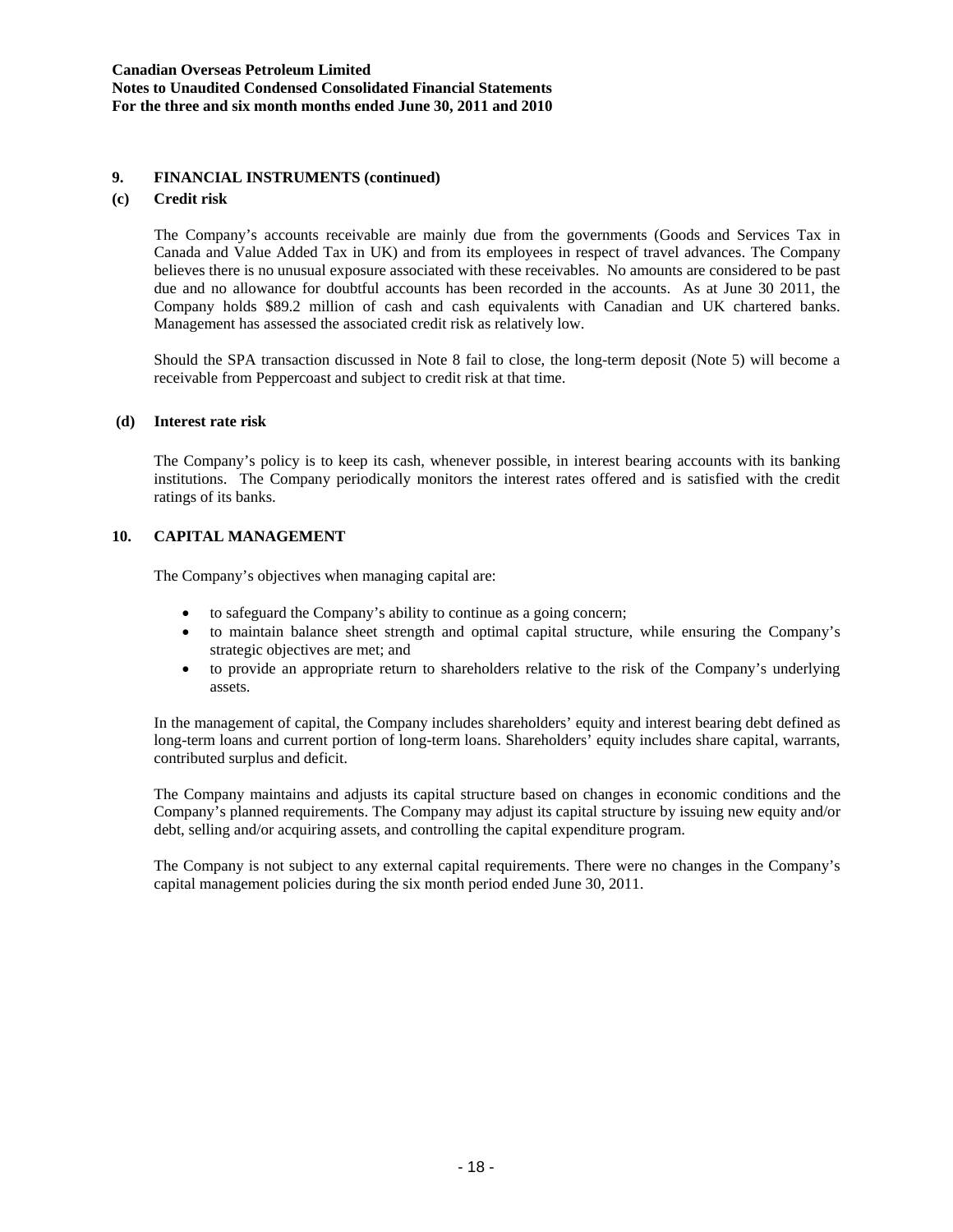### **9. FINANCIAL INSTRUMENTS (continued)**

### **(c) Credit risk**

The Company's accounts receivable are mainly due from the governments (Goods and Services Tax in Canada and Value Added Tax in UK) and from its employees in respect of travel advances. The Company believes there is no unusual exposure associated with these receivables. No amounts are considered to be past due and no allowance for doubtful accounts has been recorded in the accounts. As at June 30 2011, the Company holds \$89.2 million of cash and cash equivalents with Canadian and UK chartered banks. Management has assessed the associated credit risk as relatively low.

Should the SPA transaction discussed in Note 8 fail to close, the long-term deposit (Note 5) will become a receivable from Peppercoast and subject to credit risk at that time.

#### **(d) Interest rate risk**

The Company's policy is to keep its cash, whenever possible, in interest bearing accounts with its banking institutions. The Company periodically monitors the interest rates offered and is satisfied with the credit ratings of its banks.

### **10. CAPITAL MANAGEMENT**

The Company's objectives when managing capital are:

- to safeguard the Company's ability to continue as a going concern;
- to maintain balance sheet strength and optimal capital structure, while ensuring the Company's strategic objectives are met; and
- to provide an appropriate return to shareholders relative to the risk of the Company's underlying assets.

In the management of capital, the Company includes shareholders' equity and interest bearing debt defined as long-term loans and current portion of long-term loans. Shareholders' equity includes share capital, warrants, contributed surplus and deficit.

The Company maintains and adjusts its capital structure based on changes in economic conditions and the Company's planned requirements. The Company may adjust its capital structure by issuing new equity and/or debt, selling and/or acquiring assets, and controlling the capital expenditure program.

The Company is not subject to any external capital requirements. There were no changes in the Company's capital management policies during the six month period ended June 30, 2011.